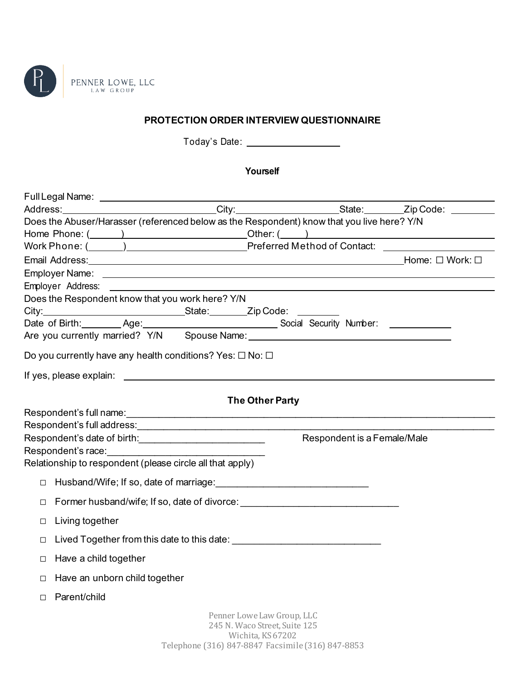

## **PROTECTION ORDER INTERVIEW QUESTIONNAIRE**

Today's Date:

**Yourself**

| Does the Abuser/Harasser (referenced below as the Respondent) know that you live here? Y/N |                               |                                                                                  |  |
|--------------------------------------------------------------------------------------------|-------------------------------|----------------------------------------------------------------------------------|--|
|                                                                                            |                               |                                                                                  |  |
|                                                                                            |                               |                                                                                  |  |
| Email Address: Nork: □ Work: □                                                             |                               |                                                                                  |  |
|                                                                                            |                               |                                                                                  |  |
|                                                                                            |                               |                                                                                  |  |
| Does the Respondent know that you work here? Y/N                                           |                               |                                                                                  |  |
|                                                                                            |                               |                                                                                  |  |
|                                                                                            |                               |                                                                                  |  |
|                                                                                            |                               |                                                                                  |  |
| Do you currently have any health conditions? Yes: $\square$ No: $\square$                  |                               |                                                                                  |  |
|                                                                                            |                               |                                                                                  |  |
|                                                                                            | The Other Party               |                                                                                  |  |
|                                                                                            |                               |                                                                                  |  |
|                                                                                            |                               |                                                                                  |  |
|                                                                                            |                               | Respondent is a Female/Male                                                      |  |
|                                                                                            |                               |                                                                                  |  |
| Relationship to respondent (please circle all that apply)                                  |                               |                                                                                  |  |
|                                                                                            |                               |                                                                                  |  |
| $\Box$                                                                                     |                               |                                                                                  |  |
| $\Box$                                                                                     |                               | Former husband/wife; If so, date of divorce: ___________________________________ |  |
| Living together<br>□                                                                       |                               |                                                                                  |  |
| □                                                                                          |                               |                                                                                  |  |
| Have a child together<br>$\Box$                                                            |                               |                                                                                  |  |
| □ Have an unborn child together                                                            |                               |                                                                                  |  |
| Parent/child                                                                               |                               |                                                                                  |  |
|                                                                                            | Penner Lowe Law Group, LLC    |                                                                                  |  |
|                                                                                            | 245 N. Waco Street, Suite 125 |                                                                                  |  |
|                                                                                            | Wichita, KS 67202             |                                                                                  |  |
|                                                                                            |                               | Telephone (316) 847-8847 Facsimile (316) 847-8853                                |  |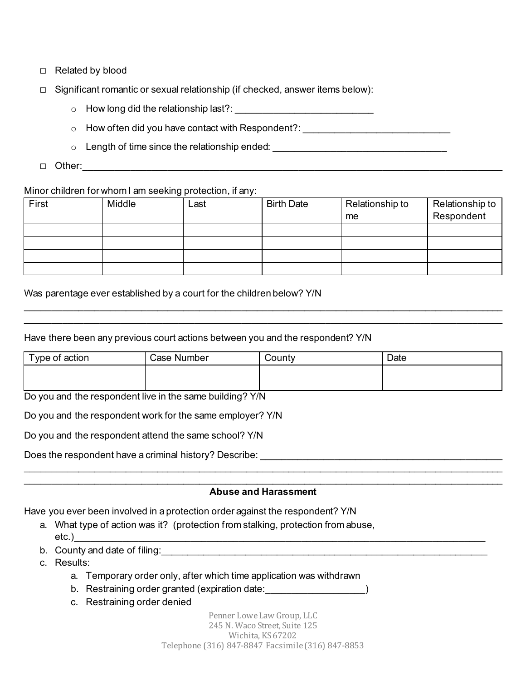- ☐ Related by blood
- ☐ Significant romantic or sexual relationship (if checked, answer items below):
	- $\circ$  How long did the relationship last?:
	- $\circ$  How often did you have contact with Respondent?:
	- $\circ$  Length of time since the relationship ended:  $\circ$
- $\Box$  Other:

## Minor children for whom I am seeking protection, if any:

| First | Middle | Last | <b>Birth Date</b> | Relationship to | Relationship to |
|-------|--------|------|-------------------|-----------------|-----------------|
|       |        |      |                   | me              | Respondent      |
|       |        |      |                   |                 |                 |
|       |        |      |                   |                 |                 |
|       |        |      |                   |                 |                 |
|       |        |      |                   |                 |                 |

Was parentage ever established by a court for the children below? Y/N

Have there been any previous court actions between you and the respondent? Y/N

| Type of action | Case Number | County | Date |  |
|----------------|-------------|--------|------|--|
|                |             |        |      |  |
|                |             |        |      |  |

\_\_\_\_\_\_\_\_\_\_\_\_\_\_\_\_\_\_\_\_\_\_\_\_\_\_\_\_\_\_\_\_\_\_\_\_\_\_\_\_\_\_\_\_\_\_\_\_\_\_\_\_\_\_\_\_\_\_\_\_\_\_\_\_\_\_\_\_\_\_\_\_\_\_\_\_\_\_\_\_\_\_\_\_\_\_\_\_\_\_\_ \_\_\_\_\_\_\_\_\_\_\_\_\_\_\_\_\_\_\_\_\_\_\_\_\_\_\_\_\_\_\_\_\_\_\_\_\_\_\_\_\_\_\_\_\_\_\_\_\_\_\_\_\_\_\_\_\_\_\_\_\_\_\_\_\_\_\_\_\_\_\_\_\_\_\_\_\_\_\_\_\_\_\_\_\_\_\_\_\_\_\_

Do you and the respondent live in the same building? Y/N

Do you and the respondent work for the same employer? Y/N

Do you and the respondent attend the same school? Y/N

Does the respondent have a criminal history? Describe:

## $\_$  , and the contribution of the contribution of the contribution of the contribution of the contribution of  $\mathcal{L}_\text{max}$ **Abuse and Harassment**

\_\_\_\_\_\_\_\_\_\_\_\_\_\_\_\_\_\_\_\_\_\_\_\_\_\_\_\_\_\_\_\_\_\_\_\_\_\_\_\_\_\_\_\_\_\_\_\_\_\_\_\_\_\_\_\_\_\_\_\_\_\_\_\_\_\_\_\_\_\_\_\_\_\_\_\_\_\_\_\_\_\_\_\_\_\_\_\_\_\_\_

Have you ever been involved in a protection order against the respondent? Y/N

- a. What type of action was it? (protection from stalking, protection from abuse,  $etc.)$
- b. County and date of filing:\_\_\_\_\_\_\_\_\_\_\_\_\_\_\_\_\_\_\_\_\_\_\_\_\_\_\_\_\_\_\_\_\_\_\_\_\_\_\_\_\_\_\_\_\_\_\_\_\_\_\_\_\_\_\_\_\_\_\_\_\_\_

c. Results:

- a. Temporary order only, after which time application was withdrawn
- b. Restraining order granted (expiration date:  $\qquad \qquad$ )
- c. Restraining order denied

Penner Lowe Law Group, LLC 245 N. Waco Street, Suite 125 Wichita, KS 67202 Telephone (316) 847-8847 Facsimile (316) 847-8853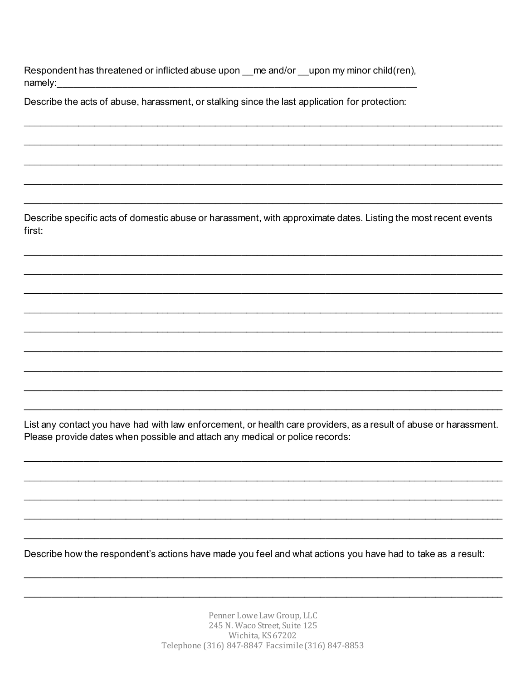Respondent has threatened or inflicted abuse upon \_\_me and/or \_\_upon my minor child(ren), namely:

Describe the acts of abuse, harassment, or stalking since the last application for protection:

Describe specific acts of domestic abuse or harassment, with approximate dates. Listing the most recent events first:

List any contact you have had with law enforcement, or health care providers, as a result of abuse or harassment. Please provide dates when possible and attach any medical or police records:

Describe how the respondent's actions have made you feel and what actions you have had to take as a result:

Penner Lowe Law Group, LLC 245 N. Waco Street, Suite 125 Wichita, KS 67202 Telephone (316) 847-8847 Facsimile (316) 847-8853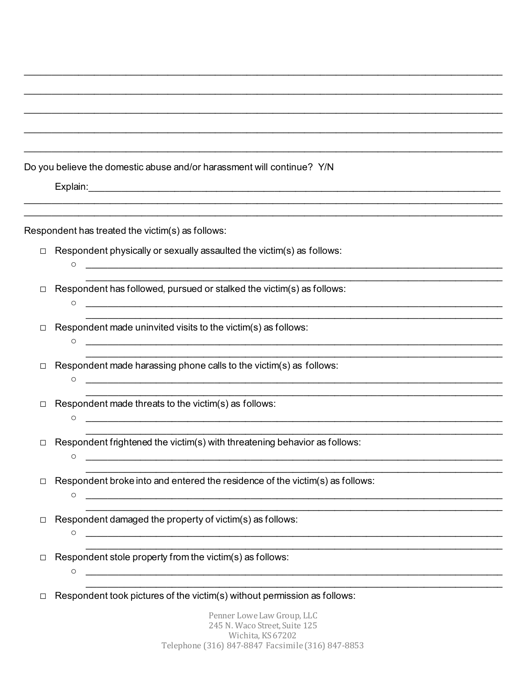|        | Do you believe the domestic abuse and/or harassment will continue? Y/N                                                                                                                                     |
|--------|------------------------------------------------------------------------------------------------------------------------------------------------------------------------------------------------------------|
|        |                                                                                                                                                                                                            |
|        | Respondent has treated the victim(s) as follows:                                                                                                                                                           |
| $\Box$ | Respondent physically or sexually assaulted the victim(s) as follows:<br><u> 1990 - Johann John Harry Harry Harry Harry Harry Harry Harry Harry Harry Harry Harry Harry Harry Harry Harry H</u><br>$\circ$ |
| □      | Respondent has followed, pursued or stalked the victim(s) as follows:<br><u> 2000 - Jan James James James James James James James James James James James James James James James James J</u><br>$\circ$   |
| □      | Respondent made uninvited visits to the victim(s) as follows:<br>$\circ$                                                                                                                                   |
| □      | Respondent made harassing phone calls to the victim(s) as follows:<br>O                                                                                                                                    |
| □      | Respondent made threats to the victim(s) as follows:<br>$\circ$                                                                                                                                            |
|        | Respondent frightened the victim(s) with threatening behavior as follows:<br>$\circ$                                                                                                                       |
| □      | Respondent broke into and entered the residence of the victim(s) as follows:<br>O                                                                                                                          |
| □      | Respondent damaged the property of victim(s) as follows:<br>O                                                                                                                                              |
| □      | Respondent stole property from the victim(s) as follows:<br>O                                                                                                                                              |
| □      | Respondent took pictures of the victim(s) without permission as follows:                                                                                                                                   |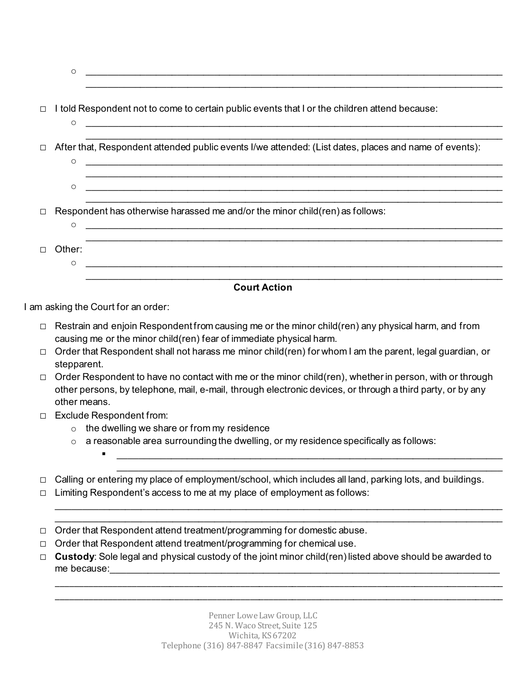| $\Box$ | $\circ$           | I told Respondent not to come to certain public events that I or the children attend because:<br><u> 1989 - Jan Sterlân yn Sterlân yn Sterlân yn Sterlân yn Sterlân yn Sterlân yn Sterlân yn Sterlân yn Sterlân yn</u> |
|--------|-------------------|------------------------------------------------------------------------------------------------------------------------------------------------------------------------------------------------------------------------|
|        | $\circ$           | After that, Respondent attended public events I/we attended: (List dates, places and name of events):                                                                                                                  |
|        | $\circ$           |                                                                                                                                                                                                                        |
| $\Box$ | $\circ$           | Respondent has otherwise harassed me and/or the minor child(ren) as follows:<br><u> 1989 - Johann Stoff, deutscher Stoff, der Stoff, der Stoff, der Stoff, der Stoff, der Stoff, der Stoff, der S</u>                  |
|        | Other:<br>$\circ$ | <u> 1980 - John Stein, Amerikaansk politiker (* 1980)</u>                                                                                                                                                              |
|        |                   | <b>Court Action</b>                                                                                                                                                                                                    |

o \_\_\_\_\_\_\_\_\_\_\_\_\_\_\_\_\_\_\_\_\_\_\_\_\_\_\_\_\_\_\_\_\_\_\_\_\_\_\_\_\_\_\_\_\_\_\_\_\_\_\_\_\_\_\_\_\_\_\_\_\_\_\_\_\_\_\_\_\_\_\_\_\_\_\_\_\_\_\_

I am asking the Court for an order:

- ☐ Restrain and enjoin Respondent from causing me or the minor child(ren) any physical harm, and from causing me or the minor child(ren) fear of immediate physical harm.
- ☐ Order that Respondent shall not harass me minor child(ren) for whom I am the parent, legal guardian, or stepparent.
- □ Order Respondent to have no contact with me or the minor child(ren), whether in person, with or through other persons, by telephone, mail, e-mail, through electronic devices, or through a third party, or by any other means.
- ☐ Exclude Respondent from:
	- $\circ$  the dwelling we share or from my residence
	- o a reasonable area surrounding the dwelling, or my residence specifically as follows:
- ☐ Calling or entering my place of employment/school, which includes all land, parking lots, and buildings.

 $\_$  , and the set of the set of the set of the set of the set of the set of the set of the set of the set of the set of the set of the set of the set of the set of the set of the set of the set of the set of the set of th \_\_\_\_\_\_\_\_\_\_\_\_\_\_\_\_\_\_\_\_\_\_\_\_\_\_\_\_\_\_\_\_\_\_\_\_\_\_\_\_\_\_\_\_\_\_\_\_\_\_\_\_\_\_\_\_\_\_\_\_\_\_\_\_\_\_\_\_\_\_\_\_\_\_\_\_\_\_\_\_\_\_\_\_\_

\_\_\_\_\_\_\_\_\_\_\_\_\_\_\_\_\_\_\_\_\_\_\_\_\_\_\_\_\_\_\_\_\_\_\_\_\_\_\_\_\_\_\_\_\_\_\_\_\_\_\_\_\_\_\_\_\_\_\_\_\_\_\_\_\_\_\_\_\_\_\_\_\_\_\_\_\_\_\_\_\_\_\_\_\_\_\_\_\_\_\_\_\_\_\_ \_\_\_\_\_\_\_\_\_\_\_\_\_\_\_\_\_\_\_\_\_\_\_\_\_\_\_\_\_\_\_\_\_\_\_\_\_\_\_\_\_\_\_\_\_\_\_\_\_\_\_\_\_\_\_\_\_\_\_\_\_\_\_\_\_\_\_\_\_\_\_\_\_\_\_\_\_\_\_\_\_\_\_\_\_\_\_\_\_\_\_\_\_\_\_

 \_\_\_\_\_\_\_\_\_\_\_\_\_\_\_\_\_\_\_\_\_\_\_\_\_\_\_\_\_\_\_\_\_\_\_\_\_\_\_\_\_\_\_\_\_\_\_\_\_\_\_\_\_\_\_\_\_\_\_\_\_\_\_\_\_\_\_\_\_\_\_\_\_ \_\_\_\_\_\_\_\_\_\_\_\_\_\_\_\_\_\_\_\_\_\_\_\_\_\_\_\_\_\_\_\_\_\_\_\_\_\_\_\_\_\_\_\_\_\_\_\_\_\_\_\_\_\_\_\_\_\_\_\_\_\_\_\_\_\_\_\_\_\_\_\_\_

- ☐ Limiting Respondent's access to me at my place of employment as follows:
- ☐ Order that Respondent attend treatment/programming for domestic abuse.
- ☐ Order that Respondent attend treatment/programming for chemical use.
- ☐ **Custody**: Sole legal and physical custody of the joint minor child(ren) listed above should be awarded to me because: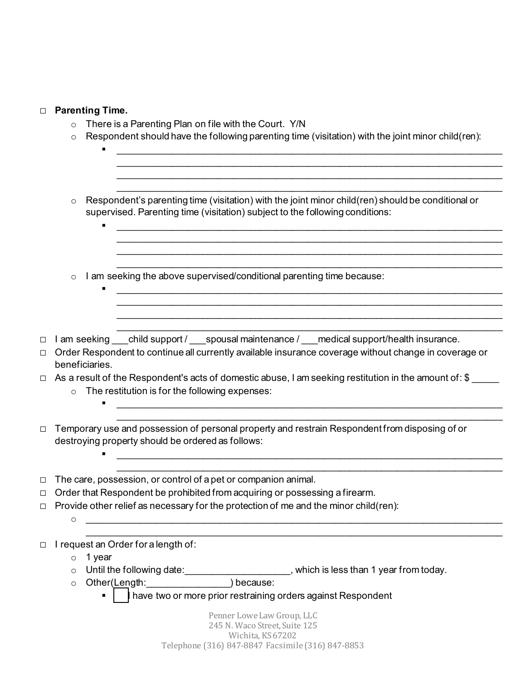| $\Box$ | <b>Parenting Time.</b>                                                                                                                                                                                                                                                                                                                                                                                                      |  |  |
|--------|-----------------------------------------------------------------------------------------------------------------------------------------------------------------------------------------------------------------------------------------------------------------------------------------------------------------------------------------------------------------------------------------------------------------------------|--|--|
|        | There is a Parenting Plan on file with the Court. Y/N<br>$\circ$                                                                                                                                                                                                                                                                                                                                                            |  |  |
|        | Respondent should have the following parenting time (visitation) with the joint minor child(ren):<br>$\circ$                                                                                                                                                                                                                                                                                                                |  |  |
|        |                                                                                                                                                                                                                                                                                                                                                                                                                             |  |  |
|        | <u> 2000 - 2000 - 2000 - 2000 - 2000 - 2000 - 2000 - 2000 - 2000 - 2000 - 2000 - 2000 - 2000 - 2000 - 2000 - 200</u>                                                                                                                                                                                                                                                                                                        |  |  |
|        |                                                                                                                                                                                                                                                                                                                                                                                                                             |  |  |
|        |                                                                                                                                                                                                                                                                                                                                                                                                                             |  |  |
|        |                                                                                                                                                                                                                                                                                                                                                                                                                             |  |  |
|        | Respondent's parenting time (visitation) with the joint minor child(ren) should be conditional or<br>$\circ$<br>supervised. Parenting time (visitation) subject to the following conditions:                                                                                                                                                                                                                                |  |  |
|        |                                                                                                                                                                                                                                                                                                                                                                                                                             |  |  |
|        | <u> 2000 - Jan Barnett, mars ann an t-Amhain ann an t-Amhain an t-Amhain ann an t-Amhain an t-Amhain ann an t-Amh</u>                                                                                                                                                                                                                                                                                                       |  |  |
|        |                                                                                                                                                                                                                                                                                                                                                                                                                             |  |  |
|        |                                                                                                                                                                                                                                                                                                                                                                                                                             |  |  |
|        |                                                                                                                                                                                                                                                                                                                                                                                                                             |  |  |
|        | I am seeking the above supervised/conditional parenting time because:<br>$\circ$                                                                                                                                                                                                                                                                                                                                            |  |  |
|        | $\begin{array}{cccccccccccccc} \multicolumn{4}{c }{\textbf{1} & \textbf{2} & \textbf{3} & \textbf{4} & \textbf{5} & \textbf{5} & \textbf{6} & \textbf{7} & \textbf{8} & \textbf{9} & \textbf{10} & \textbf{10} & \textbf{10} & \textbf{10} & \textbf{10} & \textbf{10} & \textbf{10} & \textbf{10} & \textbf{10} & \textbf{10} & \textbf{10} & \textbf{10} & \textbf{10} & \textbf{10} & \textbf{10} & \textbf{10} & \text$ |  |  |
|        |                                                                                                                                                                                                                                                                                                                                                                                                                             |  |  |
|        |                                                                                                                                                                                                                                                                                                                                                                                                                             |  |  |
|        |                                                                                                                                                                                                                                                                                                                                                                                                                             |  |  |
| □      | I am seeking child support / spousal maintenance / medical support/health insurance.                                                                                                                                                                                                                                                                                                                                        |  |  |
| □      | Order Respondent to continue all currently available insurance coverage without change in coverage or                                                                                                                                                                                                                                                                                                                       |  |  |
|        | beneficiaries.                                                                                                                                                                                                                                                                                                                                                                                                              |  |  |
|        | As a result of the Respondent's acts of domestic abuse, I am seeking restitution in the amount of: \$                                                                                                                                                                                                                                                                                                                       |  |  |
|        | The restitution is for the following expenses:<br>$\circ$                                                                                                                                                                                                                                                                                                                                                                   |  |  |
|        |                                                                                                                                                                                                                                                                                                                                                                                                                             |  |  |
|        |                                                                                                                                                                                                                                                                                                                                                                                                                             |  |  |
| □      | Temporary use and possession of personal property and restrain Respondent from disposing of or                                                                                                                                                                                                                                                                                                                              |  |  |
|        | destroying property should be ordered as follows:                                                                                                                                                                                                                                                                                                                                                                           |  |  |
|        | <u> 1980 - Jan James James Barbara, mestrala provincia estatuba estatuba estatuba estatuba estatuba estatuba est</u>                                                                                                                                                                                                                                                                                                        |  |  |
|        |                                                                                                                                                                                                                                                                                                                                                                                                                             |  |  |
|        | The care, possession, or control of a pet or companion animal.                                                                                                                                                                                                                                                                                                                                                              |  |  |
| □      | Order that Respondent be prohibited from acquiring or possessing a firearm.                                                                                                                                                                                                                                                                                                                                                 |  |  |
| □      | Provide other relief as necessary for the protection of me and the minor child(ren):                                                                                                                                                                                                                                                                                                                                        |  |  |
|        | $\circ$                                                                                                                                                                                                                                                                                                                                                                                                                     |  |  |
|        |                                                                                                                                                                                                                                                                                                                                                                                                                             |  |  |
| □      | I request an Order for a length of:                                                                                                                                                                                                                                                                                                                                                                                         |  |  |
|        | 1 year<br>$\circ$                                                                                                                                                                                                                                                                                                                                                                                                           |  |  |
|        | Until the following date:<br><u> Lettia Lettia Antich is less than</u> 1 year from today.<br>$\circ$                                                                                                                                                                                                                                                                                                                        |  |  |
|        | Other(Length: ________________) because:<br>$\circ$                                                                                                                                                                                                                                                                                                                                                                         |  |  |
|        | have two or more prior restraining orders against Respondent                                                                                                                                                                                                                                                                                                                                                                |  |  |
|        |                                                                                                                                                                                                                                                                                                                                                                                                                             |  |  |
|        | Penner Lowe Law Group, LLC<br>245 N. Waco Street, Suite 125                                                                                                                                                                                                                                                                                                                                                                 |  |  |
|        | Wichita, KS 67202                                                                                                                                                                                                                                                                                                                                                                                                           |  |  |

Wichita, KS 67202 Telephone (316) 847-8847 Facsimile (316) 847-8853